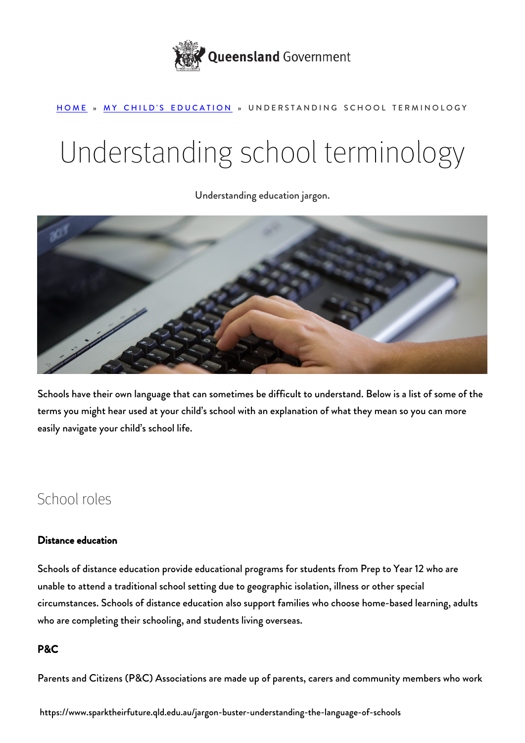

### [HOME](https://www.sparktheirfuture.qld.edu.au/) » [MY CHILD'S EDUCATION](https://www.sparktheirfuture.qld.edu.au/category/my-childs-school/) » UNDERSTANDING SCHOOL TERMINOLOGY

# Understanding school terminology

Understanding education jargon.



Schools have their own language that can sometimes be difficult to understand. Below is a list of some of the terms you might hear used at your child's school with an explanation of what they mean so you can more easily navigate your child's school life.

# School roles

# Distance education

Schools of distance education provide educational programs for students from Prep to Year 12 who are unable to attend a traditional school setting due to geographic isolation, illness or other special circumstances. [Schools of distance education](https://education.qld.gov.au/schools-educators/distance-education) also support families who choose home-based learning, adults who are completing their schooling, and students living overseas.

# P&C

Parents and Citizens (P&C) Associations are made up of parents, carers and community members who work

https://www.sparktheirfuture.qld.edu.au/jargon-buster-understanding-the-language-of-schools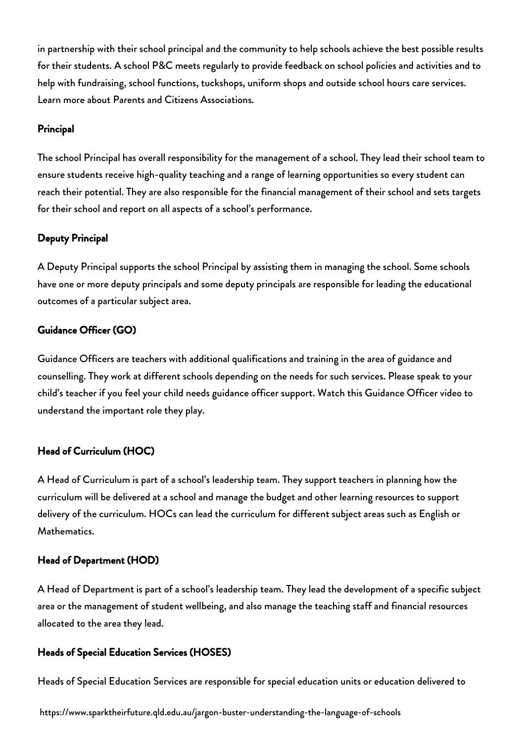in partnership with their school principal and the community to help schools achieve the best possible results for their students. A school P&C meets regularly to provide feedback on school policies and activities and to help with fundraising, school functions, tuckshops, uniform shops and outside school hours care services. Learn more about [Parents and Citizens Associations.](https://education.qld.gov.au/parents-and-carers/parent-participation/p-and-c)

#### Principal

The school Principal has overall responsibility for the management of a school. They lead their school team to ensure students receive high-quality teaching and a range of learning opportunities so every student can reach their potential. They are also responsible for the financial management of their school and sets targets for their school and report on all aspects of a school's performance.

### Deputy Principal

A Deputy Principal supports the school Principal by assisting them in managing the school. Some schools have one or more deputy principals and some deputy principals are responsible for leading the educational outcomes of a particular subject area.

# Guidance Officer (GO)

[Guidance Officers](https://www.sparktheirfuture.qld.edu.au/how-a-guidance-officer-can-help-your-child/) are teachers with additional qualifications and training in the area of guidance and counselling. They work at different schools depending on the needs for such services. Please speak to your child's teacher if you feel your child needs guidance officer support. Watch this Guidance Officer video to understand the important role they play.

# Head of Curriculum (HOC)

A Head of Curriculum is part of a school's leadership team. They support teachers in planning how the curriculum will be delivered at a school and manage the budget and other learning resources to support delivery of the curriculum. HOCs can lead the curriculum for different subject areas such as English or Mathematics.

#### Head of Department (HOD)

A Head of Department is part of a school's leadership team. They lead the development of a specific subject area or the management of student wellbeing, and also manage the teaching staff and financial resources allocated to the area they lead.

# Heads of Special Education Services (HOSES)

Heads of Special Education Services are responsible for special education units or education delivered to

https://www.sparktheirfuture.qld.edu.au/jargon-buster-understanding-the-language-of-schools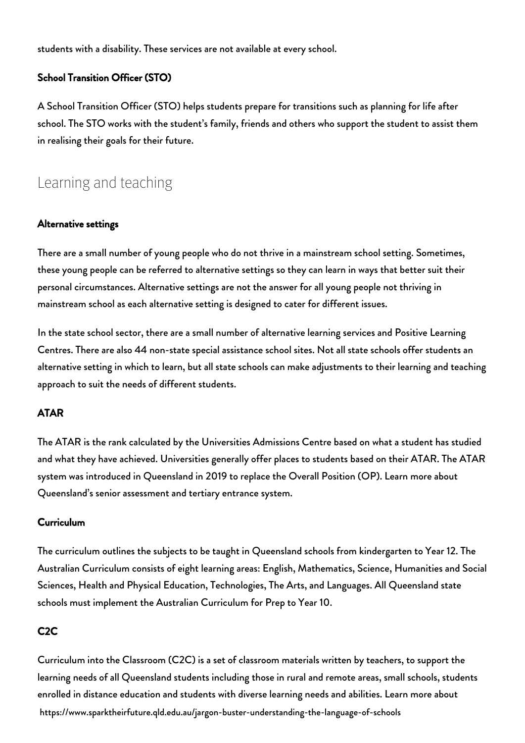students with a disability. These services are not available at every school.

#### School Transition Officer (STO)

A School Transition Officer (STO) helps students prepare for transitions such as planning for life after school. The STO works with the student's family, friends and others who support the student to assist them in realising their goals for their future.

# Learning and teaching

#### Alternative settings

There are a small number of young people who do not thrive in a mainstream school setting. Sometimes, these young people can be referred to alternative settings so they can learn in ways that better suit their personal circumstances. Alternative settings are not the answer for all young people not thriving in mainstream school as each alternative setting is designed to cater for different issues.

In the state school sector, there are a small number of alternative learning services and Positive Learning Centres. There are also 44 non-state special assistance school sites. Not all state schools offer students an alternative setting in which to learn, but all state schools can make adjustments to their learning and teaching approach to suit the needs of different students.

#### ATAR

The ATAR is the rank calculated by the Universities Admissions Centre based on what a student has studied and what they have achieved. Universities generally offer places to students based on their ATAR. The ATAR system was introduced in Queensland in 2019 to replace the Overall Position (OP). Learn more about Queensland's [senior assessment and tertiary entrance system](https://qed.qld.gov.au/programsinitiatives/education/Documents/advancing-futures-sate.pdf).

#### Curriculum

The curriculum outlines the subjects to be taught in Queensland schools from kindergarten to Year 12. The Australian Curriculum consists of eight learning areas: English, Mathematics, Science, Humanities and Social Sciences, Health and Physical Education, Technologies, The Arts, and Languages. All Queensland state schools must implement the Australian Curriculum for Prep to Year 10.

#### C2C

https://www.sparktheirfuture.qld.edu.au/jargon-buster-understanding-the-language-of-schools Curriculum into the Classroom (C2C) is a set of classroom materials written by teachers, to support the learning needs of all Queensland students including those in rural and remote areas, small schools, students enrolled in distance education and students with diverse learning needs and abilities. Learn more about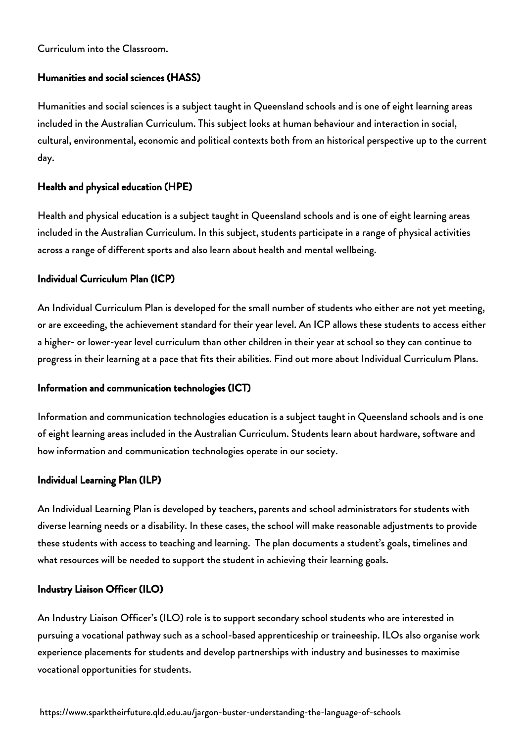[Curriculum into the Classroom](https://education.qld.gov.au/curriculums/Documents/c2c-parent-information.pdf).

### Humanities and social sciences (HASS)

Humanities and social sciences is a subject taught in Queensland schools and is one of eight learning areas included in the Australian Curriculum. This subject looks at human behaviour and interaction in social, cultural, environmental, economic and political contexts both from an historical perspective up to the current day.

### Health and physical education (HPE)

Health and physical education is a subject taught in Queensland schools and is one of eight learning areas included in the Australian Curriculum. In this subject, students participate in a range of physical activities across a range of different sports and also learn about health and mental wellbeing.

### Individual Curriculum Plan (ICP)

An Individual Curriculum Plan is developed for the small number of students who either are not yet meeting, or are exceeding, the achievement standard for their year level. An ICP allows these students to access either a higher- or lower-year level curriculum than other children in their year at school so they can continue to progress in their learning at a pace that fits their abilities. Find out more about [Individual Curriculum Plans.](https://education.qld.gov.au/curriculums/Documents/p-12-curriculum-assessment-reporting-framework.pdf)

#### Information and communication technologies (ICT)

Information and communication technologies education is a subject taught in Queensland schools and is one of eight learning areas included in the Australian Curriculum. Students learn about hardware, software and how information and communication technologies operate in our society.

# Individual Learning Plan (ILP)

An Individual Learning Plan is developed by teachers, parents and school administrators for students with diverse learning needs or a disability. In these cases, the school will make reasonable adjustments to provide these students with access to teaching and learning. The plan documents a student's goals, timelines and what resources will be needed to support the student in achieving their learning goals.

# Industry Liaison Officer (ILO)

An Industry Liaison Officer's (ILO) role is to support secondary school students who are interested in pursuing a vocational pathway such as a school-based apprenticeship or traineeship. ILOs also organise work experience placements for students and develop partnerships with industry and businesses to maximise vocational opportunities for students.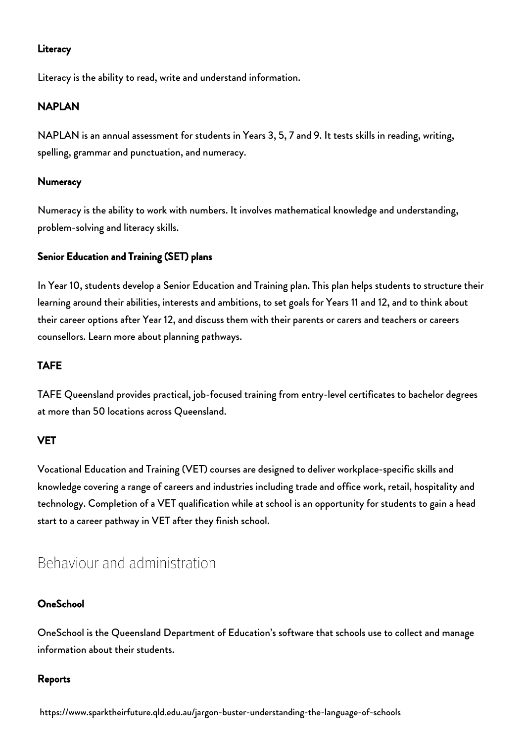## **Literacy**

Literacy is the ability to read, write and understand information.

## NAPLAN

NAPLAN is an annual assessment for students in Years 3, 5, 7 and 9. It tests skills in reading, writing, spelling, grammar and punctuation, and numeracy.

#### **Numeracy**

Numeracy is the ability to work with numbers. It involves mathematical knowledge and understanding, problem-solving and literacy skills.

### Senior Education and Training (SET) plans

In Year 10, students develop a [Senior Education and Training plan.](https://www.sparktheirfuture.qld.edu.au/whats-a-set-plan-and-how-can-i-be-involved/) This plan helps students to structure their learning around their abilities, interests and ambitions, to set goals for Years 11 and 12, and to think about their career options after Year 12, and discuss them with their parents or carers and teachers or careers counsellors. Learn more about [planning pathways.](https://myqce.qcaa.qld.edu.au/planning-your-pathway.html)

## TAFE

[TAFE Queensland](https://tafeqld.edu.au/home.html?) provides practical, job-focused training from entry-level certificates to bachelor degrees at more than 50 locations across Queensland.

# **VET**

Vocational Education and Training (VET) courses are designed to deliver workplace-specific skills and knowledge covering a range of careers and industries including trade and office work, retail, hospitality and technology. Completion of a VET qualification while at school is an opportunity for students to gain a head start to a career pathway in VET after they finish school.

# Behaviour and administration

#### **OneSchool**

OneSchool is the Queensland Department of Education's software that schools use to collect and manage information about their students.

#### Reports

https://www.sparktheirfuture.qld.edu.au/jargon-buster-understanding-the-language-of-schools